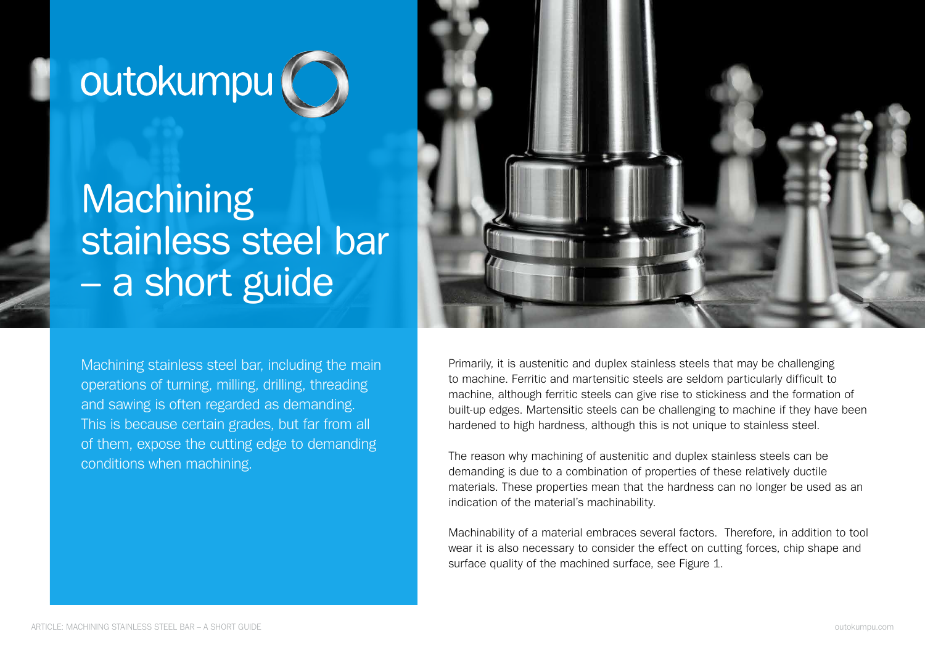# outokumpu (

## **Machining** stainless steel bar – a short guide

Machining stainless steel bar, including the main operations of turning, milling, drilling, threading and sawing is often regarded as demanding. This is because certain grades, but far from all of them, expose the cutting edge to demanding conditions when machining.



Primarily, it is austenitic and duplex stainless steels that may be challenging to machine. Ferritic and martensitic steels are seldom particularly difficult to machine, although ferritic steels can give rise to stickiness and the formation of built-up edges. Martensitic steels can be challenging to machine if they have been hardened to high hardness, although this is not unique to stainless steel.

The reason why machining of austenitic and duplex stainless steels can be demanding is due to a combination of properties of these relatively ductile materials. These properties mean that the hardness can no longer be used as an indication of the material's machinability.

Machinability of a material embraces several factors. Therefore, in addition to tool wear it is also necessary to consider the effect on cutting forces, chip shape and surface quality of the machined surface, see Figure 1.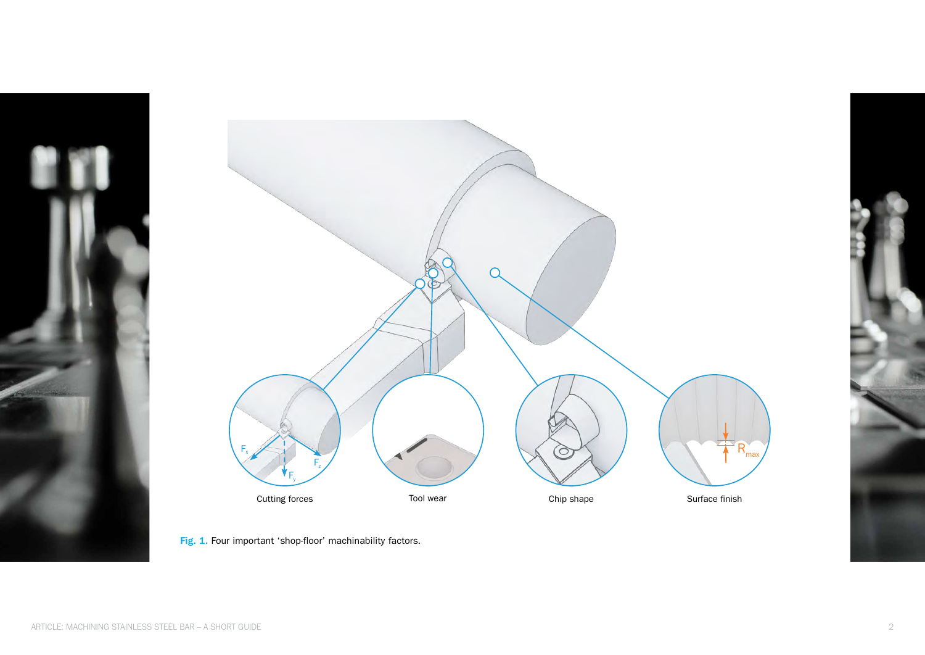



Fig. 1. Four important 'shop-floor' machinability factors.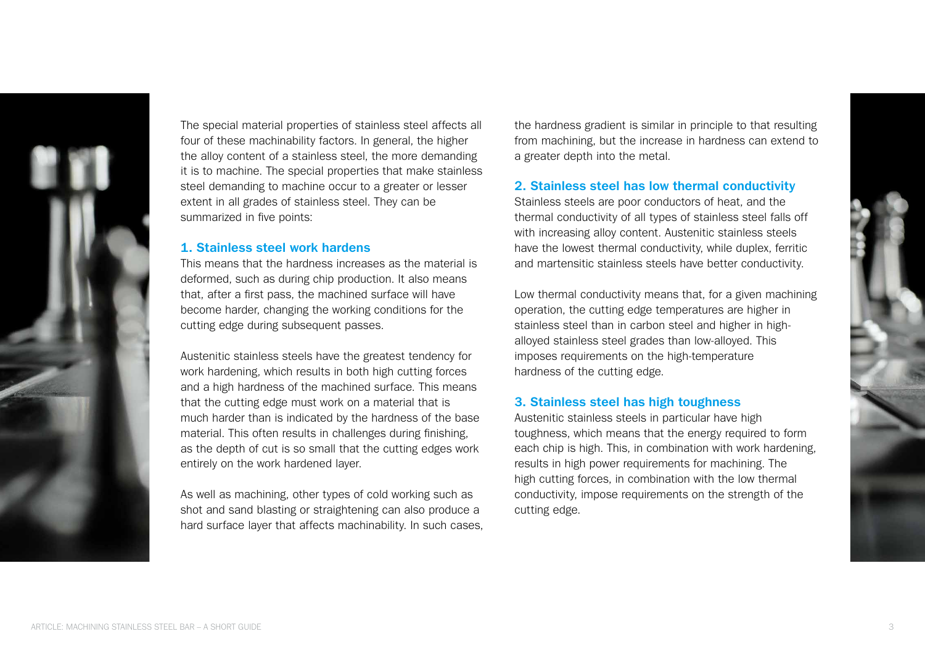

The special material properties of stainless steel affects all four of these machinability factors. In general, the higher the alloy content of a stainless steel, the more demanding it is to machine. The special properties that make stainless steel demanding to machine occur to a greater or lesser extent in all grades of stainless steel. They can be summarized in five points:

#### 1. Stainless steel work hardens

This means that the hardness increases as the material is deformed, such as during chip production. It also means that, after a first pass, the machined surface will have become harder, changing the working conditions for the cutting edge during subsequent passes.

Austenitic stainless steels have the greatest tendency for work hardening, which results in both high cutting forces and a high hardness of the machined surface. This means that the cutting edge must work on a material that is much harder than is indicated by the hardness of the base material. This often results in challenges during finishing, as the depth of cut is so small that the cutting edges work entirely on the work hardened layer.

As well as machining, other types of cold working such as shot and sand blasting or straightening can also produce a hard surface layer that affects machinability. In such cases, the hardness gradient is similar in principle to that resulting from machining, but the increase in hardness can extend to a greater depth into the metal.

#### 2. Stainless steel has low thermal conductivity

Stainless steels are poor conductors of heat, and the thermal conductivity of all types of stainless steel falls off with increasing alloy content. Austenitic stainless steels have the lowest thermal conductivity, while duplex, ferritic and martensitic stainless steels have better conductivity.

Low thermal conductivity means that, for a given machining operation, the cutting edge temperatures are higher in stainless steel than in carbon steel and higher in highalloyed stainless steel grades than low-alloyed. This imposes requirements on the high-temperature hardness of the cutting edge.

#### 3. Stainless steel has high toughness

Austenitic stainless steels in particular have high toughness, which means that the energy required to form each chip is high. This, in combination with work hardening, results in high power requirements for machining. The high cutting forces, in combination with the low thermal conductivity, impose requirements on the strength of the cutting edge.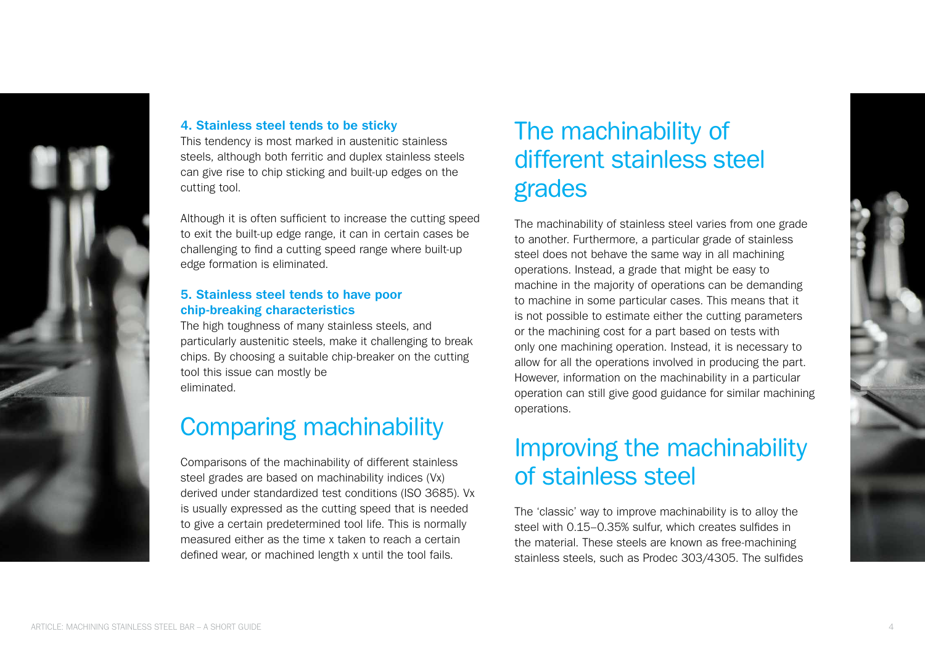

#### 4. Stainless steel tends to be sticky

This tendency is most marked in austenitic stainless steels, although both ferritic and duplex stainless steels can give rise to chip sticking and built-up edges on the cutting tool.

Although it is often sufficient to increase the cutting speed to exit the built-up edge range, it can in certain cases be challenging to find a cutting speed range where built-up edge formation is eliminated.

#### 5. Stainless steel tends to have poor chip-breaking characteristics

The high toughness of many stainless steels, and particularly austenitic steels, make it challenging to break chips. By choosing a suitable chip-breaker on the cutting tool this issue can mostly be eliminated.

### Comparing machinability

Comparisons of the machinability of different stainless steel grades are based on machinability indices (Vx) derived under standardized test conditions (ISO 3685). Vx is usually expressed as the cutting speed that is needed to give a certain predetermined tool life. This is normally measured either as the time x taken to reach a certain defined wear, or machined length x until the tool fails.

### The machinability of different stainless steel grades

The machinability of stainless steel varies from one grade to another. Furthermore, a particular grade of stainless steel does not behave the same way in all machining operations. Instead, a grade that might be easy to machine in the majority of operations can be demanding to machine in some particular cases. This means that it is not possible to estimate either the cutting parameters or the machining cost for a part based on tests with only one machining operation. Instead, it is necessary to allow for all the operations involved in producing the part. However, information on the machinability in a particular operation can still give good guidance for similar machining operations.

### Improving the machinability of stainless steel

The 'classic' way to improve machinability is to alloy the steel with 0.15–0.35% sulfur, which creates sulfides in the material. These steels are known as free-machining stainless steels, such as Prodec 303/4305. The sulfides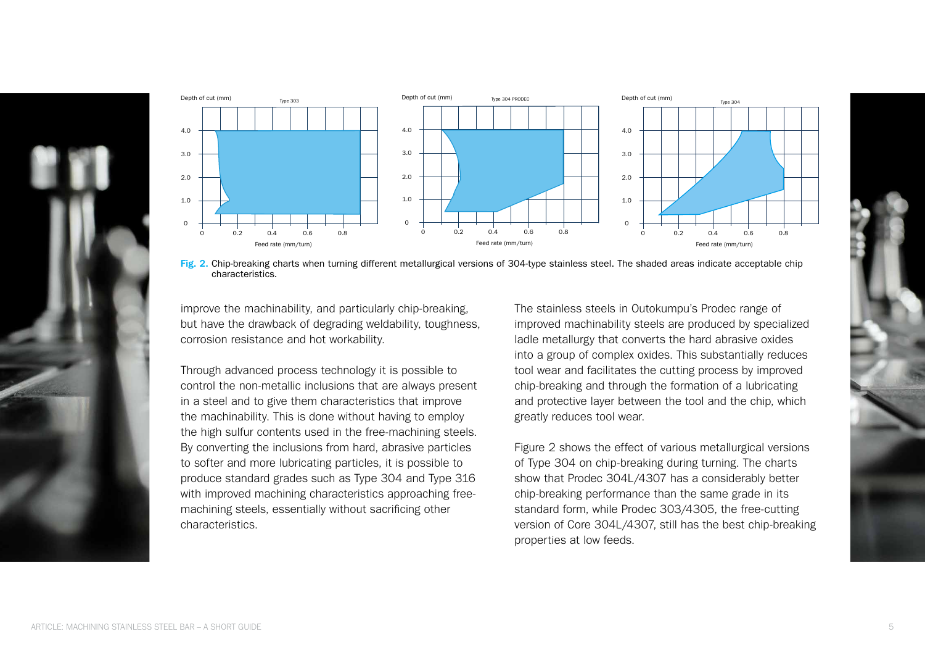



Fig. 2. Chip-breaking charts when turning different metallurgical versions of 304-type stainless steel. The shaded areas indicate acceptable chip The shaded areas indicate acceptable chip characteristics. characteristics.

improve the machinability, and particularly chip-breaking, but have the drawback of degrading weldability, toughness, corrosion resistance and hot workability.

Through advanced process technology it is possible to control the non-metallic inclusions that are always present in a steel and to give them characteristics that improve the machinability. This is done without having to employ the high sulfur contents used in the free-machining steels. By converting the inclusions from hard, abrasive particles to softer and more lubricating particles, it is possible to produce standard grades such as Type 304 and Type 316 with improved machining characteristics approaching freemachining steels, essentially without sacrificing other characteristics. ngo banar bontonto abbann

The stainless steels in Outokumpu's Prodec range of improved machinability steels are produced by specialized ladle metallurgy that converts the hard abrasive oxides into a group of complex oxides. This substantially reduces tool wear and facilitates the cutting process by improved chip-breaking and through the formation of a lubricating and protective layer between the tool and the chip, which greatly reduces tool wear.

Figure 2 shows the effect of various metallurgical versions of Type 304 on chip-breaking during turning. The charts show that Prodec 304L/4307 has a considerably better chip-breaking performance than the same grade in its standard form, while Prodec 303/4305, the free-cutting version of Core 304L/4307, still has the best chip-breaking properties at low feeds.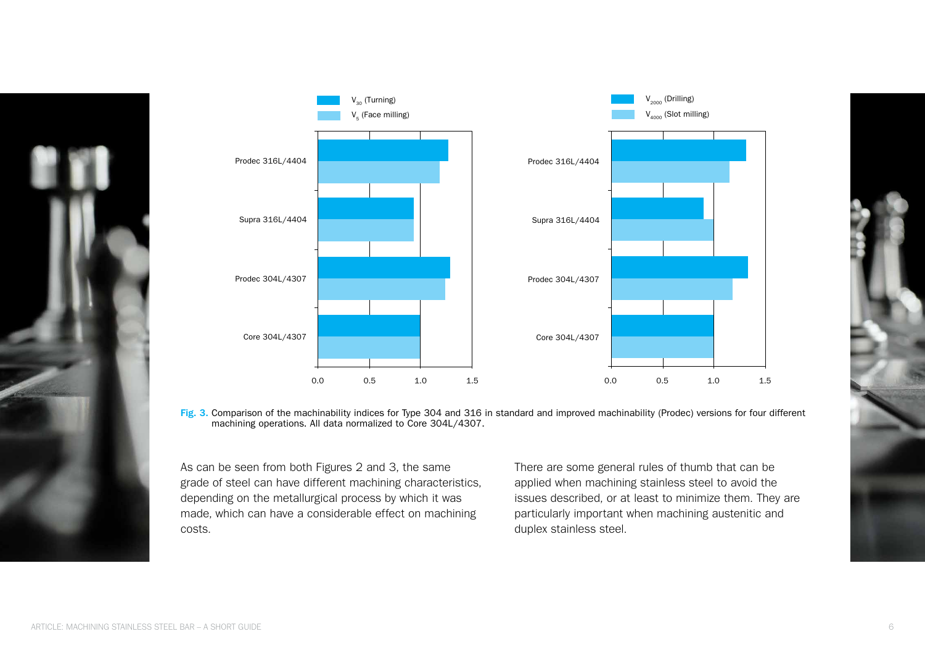



machining operations. All data normalized to Core 304L/4307. Fig. 3. Comparison of the machinability indices for Type 304 and 316 in standard and improved machinability (Prodec) versions for four different

As can be seen from both Figures 2 and 3, the same grade of steel can have different machining characteristics, depending on the metallurgical process by which it was made, which can have a considerable effect on machining costs.

There are some general rules of thumb that can be applied when machining stainless steel to avoid the issues described, or at least to minimize them. They are particularly important when machining austenitic and duplex stainless steel.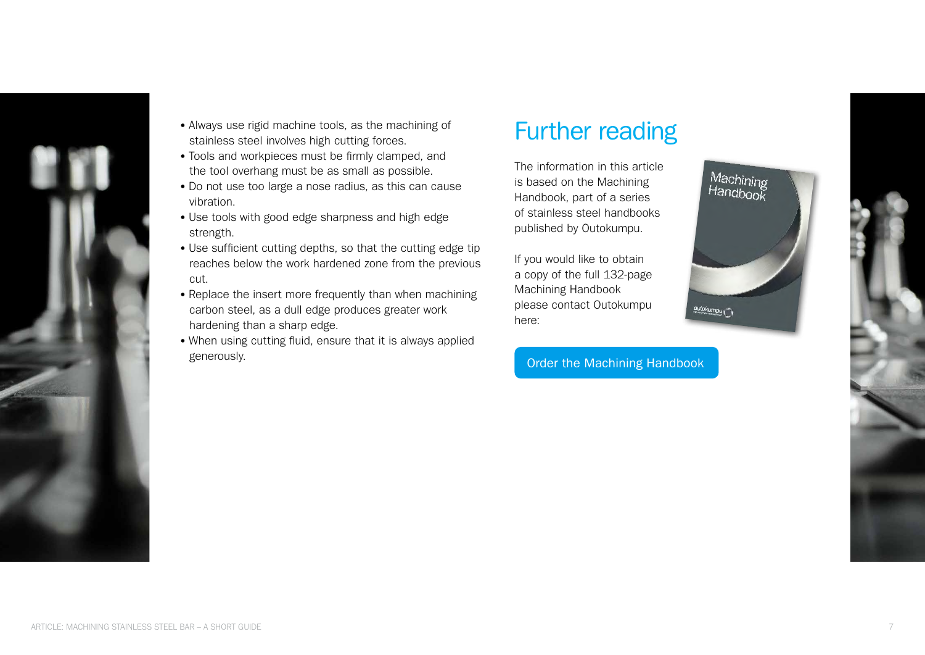

- Always use rigid machine tools, as the machining of stainless steel involves high cutting forces.
- Tools and workpieces must be firmly clamped, and the tool overhang must be as small as possible.
- Do not use too large a nose radius, as this can cause vibration.
- Use tools with good edge sharpness and high edge strength.
- Use sufficient cutting depths, so that the cutting edge tip reaches below the work hardened zone from the previous cut.
- Replace the insert more frequently than when machining carbon steel, as a dull edge produces greater work hardening than a sharp edge.
- When using cutting fluid, ensure that it is always applied generously.

### Further reading

The information in this article is based on the Machining Handbook, part of a series of stainless steel handbooks published by Outokumpu.

If you would like to obtain a copy of the full 132-page Machining Handbook please contact Outokumpu here:

[Order the Machining Handbook](https://expertise.outokumpu.com/order-Machining-Handbook)

Machining<br>Handbook outokumpu